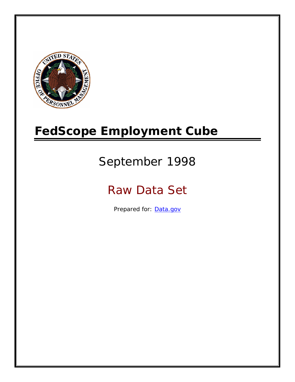

# **FedScope Employment Cube**

# September 1998

# Raw Data Set

Prepared for: [Data.gov](http://www.data.gov/)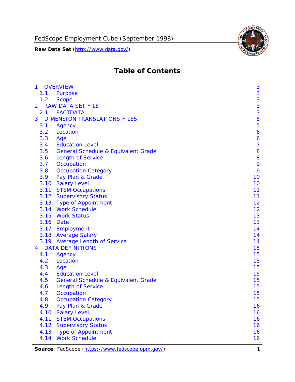

# **Table of Contents**

| $\mathbf{1}$ | <b>OVERVIEW</b>                                | 3              |
|--------------|------------------------------------------------|----------------|
| 1.1          | Purpose                                        | 3              |
| 1.2          | <b>Scope</b>                                   | 3              |
| 2            | <b>RAW DATA SET FILE</b>                       | 3              |
| 2.1          | <b>FACTDATA</b>                                | 3              |
| 3            | <b>DIMENSION TRANSLATIONS FILES</b>            | 5              |
| 3.1          | Agency                                         | 5              |
| 3.2          | Location                                       | 6              |
| 3.3          | Age                                            | 6              |
| 3.4          | <b>Education Level</b>                         | $\overline{7}$ |
| 3.5          | <b>General Schedule &amp; Equivalent Grade</b> | 8              |
| 3.6          | <b>Length of Service</b>                       | 8              |
| 3.7          | Occupation                                     | 9              |
| 3.8          | <b>Occupation Category</b>                     | 9              |
| 3.9          | Pay Plan & Grade                               | 10             |
| 3.10         | <b>Salary Level</b>                            | 10             |
|              | 3.11 STEM Occupations                          | 11             |
|              | 3.12 Supervisory Status                        | 11             |
|              | 3.13 Type of Appointment                       | 12             |
|              | 3.14 Work Schedule                             | 12             |
| 3.15         | <b>Work Status</b>                             | 13             |
|              | 3.16 Date                                      | 13             |
|              | 3.17 Employment                                | 14             |
|              | 3.18 Average Salary                            | 14             |
|              | 3.19 Average Length of Service                 | 14             |
| 4            | <b>DATA DEFINITIONS</b>                        | 15             |
| 4.1          | Agency                                         | 15             |
| 4.2          | Location                                       | 15             |
| 4.3          | Age                                            | 15             |
| 4.4          | <b>Education Level</b>                         | 15             |
| 4.5          | <b>General Schedule &amp; Equivalent Grade</b> | 15             |
| 4.6          | <b>Length of Service</b>                       | 15             |
| 4.7          | Occupation                                     | 15             |
| 4.8          | <b>Occupation Category</b>                     | 15             |
| 4.9          | Pay Plan & Grade                               | 16             |
| 4.10         | <b>Salary Level</b>                            | 16             |
| 4.11         | <b>STEM Occupations</b>                        | 16             |
| 4.12         | <b>Supervisory Status</b>                      | 16             |
| 4.13         | <b>Type of Appointment</b>                     | 16             |
| 4.14         | <b>Work Schedule</b>                           | 16             |

Source: FedScope (https://www.fedscope.opm.gov/) 1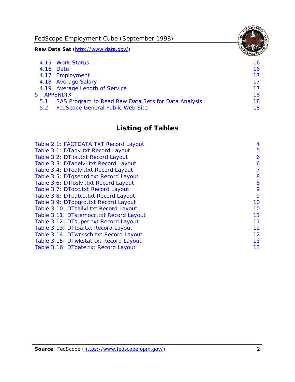FedScope Employment Cube (September 1998)

**Raw Data Set** (http://www.data.gov/)

|               | 4.15 Work Status                                    | 16 |
|---------------|-----------------------------------------------------|----|
|               | 4.16 Date                                           | 16 |
|               | 4.17 Employment                                     | 17 |
|               | 4.18 Average Salary                                 | 17 |
|               | 4.19 Average Length of Service                      | 17 |
|               | 5 APPENDIX                                          | 18 |
| 5.1           | SAS Program to Read Raw Data Sets for Data Analysis | 18 |
| $5.2^{\circ}$ | <b>FedScope General Public Web Site</b>             | 18 |

# **Listing of Tables**

| Table 2.1: FACTDATA.TXT Record Layout   | 4  |
|-----------------------------------------|----|
| Table 3.1: DTagy.txt Record Layout      | 5  |
| Table 3.2: DTloc.txt Record Layout      | 6  |
| Table 3.3: DTagelvl.txt Record Layout   | 6  |
| Table 3.4: DTedlvl.txt Record Layout    | 7  |
| Table 3.5: DTgsegrd.txt Record Layout   | 8  |
| Table 3.6: DTIoslyl.txt Record Layout   | 8  |
| Table 3.7: DTocc.txt Record Layout      | 9  |
| Table 3.8: DTpatco.txt Record Layout    | 9  |
| Table 3.9: DTppgrd.txt Record Layout    | 10 |
| Table 3.10: DTsallvl.txt Record Layout  | 10 |
| Table 3.11: DTstemocc.txt Record Layout | 11 |
| Table 3.12: DTsuper.txt Record Layout   | 11 |
| Table 3.13: DTtoa.txt Record Layout     | 12 |
| Table 3.14: DTwrksch.txt Record Layout  | 12 |
| Table 3.15: DTwkstat.txt Record Layout  | 13 |
| Table 3.16: DTdate.txt Record Layout    | 13 |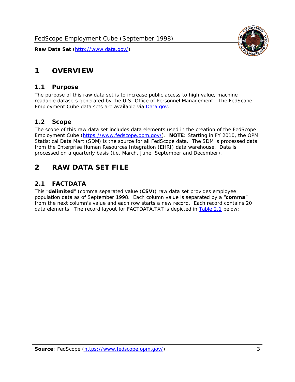<span id="page-3-0"></span>

#### *1.1 Purpose*

<span id="page-3-1"></span>The purpose of this raw data set is to increase public access to high value, machine readable datasets generated by the U.S. Office of Personnel Management. The FedScope Employment Cube data sets are available via [Data.gov](http://www.data.gov/).

# <span id="page-3-2"></span>*1.2 Scope*

The scope of this raw data set includes data elements used in the creation of the FedScope Employment Cube [\(https://www.fedscope.opm.gov/\)](https://www.fedscope.opm.gov/). **NOTE**: Starting in FY 2010, the OPM Statistical Data Mart (SDM) is the source for all FedScope data. The SDM is processed data from the Enterprise Human Resources Integration (EHRI) data warehouse. Data is processed on a quarterly basis (i.e. March, June, September and December).

# <span id="page-3-3"></span>**2 RAW DATA SET FILE**

# <span id="page-3-4"></span>*2.1 FACTDATA*

This "**delimited**" (comma separated value (**CSV**)) raw data set provides employee population data as of September 1998. Each column value is separated by a "**comma**" from the next column's value and each row starts a new record. Each record contains 20 data elements. The record layout for FACTDATA.TXT is depicted in [Table 2.1](#page-4-1) below:

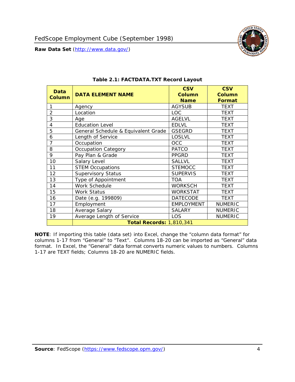<span id="page-4-1"></span><span id="page-4-0"></span>

**NOTE**: If importing this table (data set) into Excel, change the "column data format" for columns 1-17 from "General" to "Text". Columns 18-20 can be imported as "General" data format. In Excel, the "General" data format converts numeric values to numbers. Columns 1-17 are TEXT fields; Columns 18-20 are NUMERIC fields.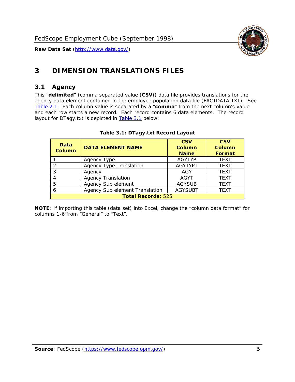

# <span id="page-5-0"></span>**3 DIMENSION TRANSLATIONS FILES**

#### <span id="page-5-1"></span>*3.1 Agency*

<span id="page-5-3"></span><span id="page-5-2"></span>This "**delimited**" (comma separated value (**CSV**)) data file provides translations for the agency data element contained in the employee population data file (FACTDATA.TXT). See [Table 2.1.](#page-4-1) Each column value is separated by a "**comma**" from the next column's value and each row starts a new record. Each record contains 6 data elements. The record layout for DTagy.txt is depicted in [Table 3.1](#page-5-3) below:

| Data<br>Column            | <b>DATA ELEMENT NAME</b>       | <b>CSV</b><br><b>Column</b><br><b>Name</b> | <b>CSV</b><br>Column<br><b>Format</b> |  |
|---------------------------|--------------------------------|--------------------------------------------|---------------------------------------|--|
|                           | Agency Type                    | <b>AGYTYP</b>                              | <b>TEXT</b>                           |  |
|                           | <b>Agency Type Translation</b> | <b>AGYTYPT</b>                             | <b>TEXT</b>                           |  |
| 3                         | Agency                         | AGY                                        | <b>TEXT</b>                           |  |
|                           | <b>Agency Translation</b>      | <b>AGYT</b>                                | <b>TEXT</b>                           |  |
| -5                        | Agency Sub element             | <b>AGYSUB</b>                              | <b>TEXT</b>                           |  |
|                           | Agency Sub element Translation | <b>AGYSUBT</b>                             | <b>TEXT</b>                           |  |
| <b>Total Records: 525</b> |                                |                                            |                                       |  |

#### **Table 3.1: DTagy.txt Record Layout**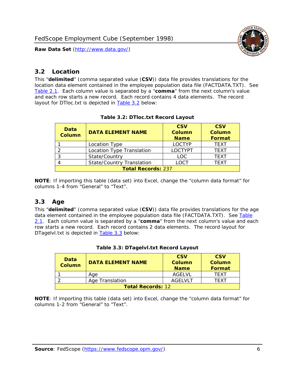

## <span id="page-6-0"></span>*3.2 Location*

<span id="page-6-4"></span><span id="page-6-2"></span>This "**delimited**" (comma separated value (**CSV**)) data file provides translations for the location data element contained in the employee population data file (FACTDATA.TXT). See [Table 2.1.](#page-4-1) Each column value is separated by a "**comma**" from the next column's value and each row starts a new record. Each record contains 4 data elements. The record layout for DTloc.txt is depicted in [Table 3.2](#page-6-4) below:

| Data<br><b>Column</b>     | <b>DATA ELEMENT NAME</b>         | <b>CSV</b><br>Column<br><b>Name</b> | <b>CSV</b><br><b>Column</b><br><b>Format</b> |  |
|---------------------------|----------------------------------|-------------------------------------|----------------------------------------------|--|
|                           | Location Type                    | <b>LOCTYP</b>                       | <b>TEXT</b>                                  |  |
|                           | Location Type Translation        | <b>LOCTYPT</b>                      | <b>TEXT</b>                                  |  |
| ົ                         | State/Country                    | <b>LOC</b>                          | <b>TFXT</b>                                  |  |
|                           | <b>State/Country Translation</b> | LOCT                                | <b>TFXT</b>                                  |  |
| <b>Total Records: 237</b> |                                  |                                     |                                              |  |

#### **Table 3.2: DTloc.txt Record Layout**

**NOTE**: If importing this table (data set) into Excel, change the "column data format" for columns 1-4 from "General" to "Text".

#### <span id="page-6-1"></span>*3.3 Age*

<span id="page-6-5"></span><span id="page-6-3"></span>This "**delimited**" (comma separated value (**CSV**)) data file provides translations for the age data element contained in the employee population data file (FACTDATA.TXT). See [Table](#page-4-1) [2.1](#page-4-1). Each column value is separated by a "**comma**" from the next column's value and each row starts a new record. Each record contains 2 data elements. The record layout for DTagelvl.txt is depicted in [Table 3.3](#page-6-5) below:

| Data<br><b>Column</b>    | <b>DATA ELEMENT NAME</b> | <b>CSV</b><br>Column<br><b>Name</b> | <b>CSV</b><br>Column<br><b>Format</b> |  |
|--------------------------|--------------------------|-------------------------------------|---------------------------------------|--|
|                          | Aae                      | AGELVL                              | TFXT                                  |  |
|                          | Age Translation          | AGFI VI T                           | TFXT                                  |  |
| <b>Total Records: 12</b> |                          |                                     |                                       |  |

|  |  | Table 3.3: DTagelvl.txt Record Layout |  |
|--|--|---------------------------------------|--|
|  |  |                                       |  |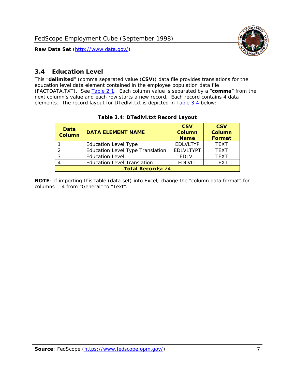

# <span id="page-7-0"></span>*3.4 Education Level*

<span id="page-7-2"></span><span id="page-7-1"></span>This "**delimited**" (comma separated value (**CSV**)) data file provides translations for the education level data element contained in the employee population data file (FACTDATA.TXT). See [Table 2.1](#page-4-1). Each column value is separated by a "**comma**" from the next column's value and each row starts a new record. Each record contains 4 data elements. The record layout for DTedlvl.txt is depicted in [Table 3.4](#page-7-2) below:

| Data<br><b>Column</b>    | <b>DATA ELEMENT NAME</b>           | <b>CSV</b><br><b>Column</b><br><b>Name</b> | <b>CSV</b><br><b>Column</b><br><b>Format</b> |  |  |
|--------------------------|------------------------------------|--------------------------------------------|----------------------------------------------|--|--|
|                          | <b>Education Level Type</b>        | <b>EDLVLTYP</b>                            | <b>TEXT</b>                                  |  |  |
|                          | Education Level Type Translation   | <b>EDLVLTYPT</b>                           | <b>TEXT</b>                                  |  |  |
|                          | <b>Education Level</b>             | <b>EDLVL</b>                               | <b>TEXT</b>                                  |  |  |
|                          | <b>Education Level Translation</b> | <b>EDLVLT</b>                              | <b>TEXT</b>                                  |  |  |
| <b>Total Records: 24</b> |                                    |                                            |                                              |  |  |

#### **Table 3.4: DTedlvl.txt Record Layout**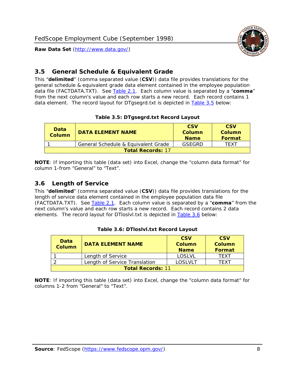

<span id="page-8-0"></span>

This "**delimited**" (comma separated value (**CSV**)) data file provides translations for the general schedule & equivalent grade data element contained in the employee population data file (FACTDATA.TXT). See [Table 2.1](#page-4-1). Each column value is separated by a "**comma**" from the next column's value and each row starts a new record. Each record contains 1 data element. The record layout for DTgsegrd.txt is depicted in [Table 3.5](#page-8-4) below:

#### **Table 3.5: DTgsegrd.txt Record Layout**

<span id="page-8-4"></span><span id="page-8-2"></span>

| Data<br>Column | <b>DATA ELEMENT NAME</b>            |        | <b>CSV</b><br>Column<br>Format |  |  |  |
|----------------|-------------------------------------|--------|--------------------------------|--|--|--|
|                | General Schedule & Equivalent Grade | GSFGRD | <b>TFXT</b>                    |  |  |  |
|                | <b>Total Records: 17</b>            |        |                                |  |  |  |

**NOTE**: If importing this table (data set) into Excel, change the "column data format" for column 1-from "General" to "Text".

#### <span id="page-8-1"></span>*3.6 Length of Service*

<span id="page-8-5"></span><span id="page-8-3"></span>This "**delimited**" (comma separated value (**CSV**)) data file provides translations for the length of service data element contained in the employee population data file (FACTDATA.TXT). See [Table 2.1](#page-4-1). Each column value is separated by a "**comma**" from the next column's value and each row starts a new record. Each record contains 2 data elements. The record layout for DTloslvl.txt is depicted in [Table 3.6](#page-8-5) below:

| <b>Data</b><br>Column    | <b>DATA FI FMFNT NAMF</b>     | <b>CSV</b><br>Column<br><b>Name</b> | <b>CSV</b><br>Column<br>Format |  |  |
|--------------------------|-------------------------------|-------------------------------------|--------------------------------|--|--|
|                          | Length of Service             | LOSLVL                              | TFXT                           |  |  |
|                          | Length of Service Translation | LOSI VLT                            | TFXT                           |  |  |
| <b>Total Records: 11</b> |                               |                                     |                                |  |  |

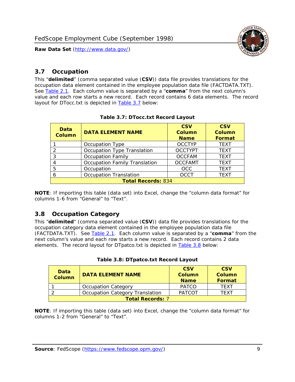

## <span id="page-9-0"></span>*3.7 Occupation*

<span id="page-9-4"></span>This "**delimited**" (comma separated value (**CSV**)) data file provides translations for the occupation data element contained in the employee population data file (FACTDATA.TXT). See [Table 2.1](#page-4-1). Each column value is separated by a "**comma**" from the next column's value and each row starts a new record. Each record contains 6 data elements. The record layout for DTocc.txt is depicted in [Table 3.7](#page-9-4) below:

<span id="page-9-2"></span>

| Data<br><b>Column</b>     | <b>DATA ELEMENT NAME</b>             | <b>CSV</b><br>Column<br><b>Name</b> | <b>CSV</b><br><b>Column</b><br><b>Format</b> |  |  |
|---------------------------|--------------------------------------|-------------------------------------|----------------------------------------------|--|--|
|                           | Occupation Type                      | <b>OCCTYP</b>                       | <b>TEXT</b>                                  |  |  |
|                           | Occupation Type Translation          | <b>OCCTYPT</b>                      | <b>TEXT</b>                                  |  |  |
| ર                         | <b>Occupation Family</b>             | <b>OCCFAM</b>                       | <b>TEXT</b>                                  |  |  |
|                           | <b>Occupation Family Translation</b> | <b>OCCFAMT</b>                      | <b>TEXT</b>                                  |  |  |
| 5                         | Occupation                           | <b>OCC</b>                          | <b>TEXT</b>                                  |  |  |
|                           | <b>Occupation Translation</b>        | <b>OCCT</b>                         | <b>TEXT</b>                                  |  |  |
| <b>Total Records: 834</b> |                                      |                                     |                                              |  |  |

#### **Table 3.7: DTocc.txt Record Layout**

**NOTE**: If importing this table (data set) into Excel, change the "column data format" for columns 1-6 from "General" to "Text".

#### <span id="page-9-1"></span>*3.8 Occupation Category*

<span id="page-9-5"></span>This "**delimited**" (comma separated value (**CSV**)) data file provides translations for the occupation category data element contained in the employee population data file (FACTDATA.TXT). See [Table 2.1](#page-4-1). Each column value is separated by a "**comma**" from the next column's value and each row starts a new record. Each record contains 2 data elements. The record layout for DTpatco.txt is depicted in [Table 3.8](#page-9-5) below:

<span id="page-9-3"></span>

| Data<br><b>Column</b>   | <b>DATA ELEMENT NAME</b>        | <b>CSV</b><br>Column<br><b>Name</b> | <b>CSV</b><br>Column<br>Format |  |
|-------------------------|---------------------------------|-------------------------------------|--------------------------------|--|
|                         | <b>Occupation Category</b>      | <b>PATCO</b>                        | <b>TFXT</b>                    |  |
|                         | Occupation Category Translation | <b>PATCOT</b>                       | TFXT                           |  |
| <b>Total Records: 7</b> |                                 |                                     |                                |  |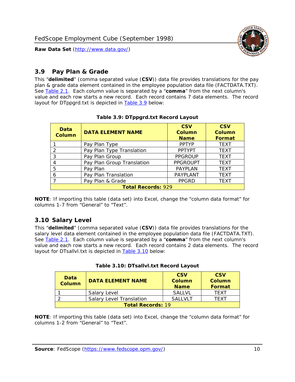

## <span id="page-10-0"></span>*3.9 Pay Plan & Grade*

<span id="page-10-4"></span>This "**delimited**" (comma separated value (**CSV**)) data file provides translations for the pay plan & grade data element contained in the employee population data file (FACTDATA.TXT). See [Table 2.1](#page-4-1). Each column value is separated by a "**comma**" from the next column's value and each row starts a new record. Each record contains 7 data elements. The record layout for DTppgrd.txt is depicted in **Table 3.9** below:

<span id="page-10-2"></span>

| Data<br>Column            | <b>DATA ELEMENT NAME</b>   | <b>CSV</b><br>Column<br><b>Name</b> | <b>CSV</b><br>Column<br><b>Format</b> |  |  |
|---------------------------|----------------------------|-------------------------------------|---------------------------------------|--|--|
|                           | Pay Plan Type              | <b>PPTYP</b>                        | <b>TEXT</b>                           |  |  |
| $\mathcal{P}$             | Pay Plan Type Translation  | <b>PPTYPT</b>                       | <b>TEXT</b>                           |  |  |
| 3                         | Pay Plan Group             | <b>PPGROUP</b>                      | <b>TEXT</b>                           |  |  |
| 4                         | Pay Plan Group Translation | <b>PPGROUPT</b>                     | <b>TEXT</b>                           |  |  |
| 5                         | Pay Plan                   | <b>PAYPLAN</b>                      | <b>TEXT</b>                           |  |  |
| 6                         | Pay Plan Translation       | PAYPLANT                            | <b>TEXT</b>                           |  |  |
|                           | Pay Plan & Grade           | <b>PPGRD</b>                        | <b>TEXT</b>                           |  |  |
| <b>Total Records: 929</b> |                            |                                     |                                       |  |  |

#### **Table 3.9: DTppgrd.txt Record Layout**

**NOTE**: If importing this table (data set) into Excel, change the "column data format" for columns 1-7 from "General" to "Text".

# <span id="page-10-1"></span>*3.10 Salary Level*

<span id="page-10-5"></span><span id="page-10-3"></span>This "**delimited**" (comma separated value (**CSV**)) data file provides translations for the salary level data element contained in the employee population data file (FACTDATA.TXT). See [Table 2.1](#page-4-1). Each column value is separated by a "**comma**" from the next column's value and each row starts a new record. Each record contains 2 data elements. The record layout for DTsallvl.txt is depicted in [Table 3.10](#page-10-5) below:

| <b>Data</b><br>Column    | <b>DATA ELEMENT NAME</b>        | <b>CSV</b><br>Column<br><b>Name</b> | <b>CSV</b><br>Column<br><b>Format</b> |
|--------------------------|---------------------------------|-------------------------------------|---------------------------------------|
|                          | Salary Level                    | <b>SALLVL</b>                       | TFXT                                  |
|                          | <b>Salary Level Translation</b> | SAI I VI T                          | TEXT                                  |
| <b>Total Records: 19</b> |                                 |                                     |                                       |

| Table 3.10: DTsallvl.txt Record Layout |  |
|----------------------------------------|--|
|----------------------------------------|--|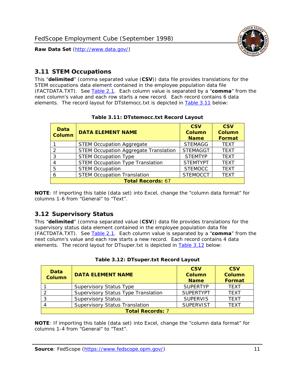

## <span id="page-11-0"></span>*3.11 STEM Occupations*

<span id="page-11-4"></span>This "**delimited**" (comma separated value (**CSV**)) data file provides translations for the STEM occupations data element contained in the employee population data file (FACTDATA.TXT). See [Table 2.1](#page-4-1). Each column value is separated by a "**comma**" from the next column's value and each row starts a new record. Each record contains 6 data elements. The record layout for DTstemocc.txt is depicted in [Table 3.11](#page-11-4) below:

<span id="page-11-2"></span>

| <b>Data</b><br><b>Column</b> | <b>DATA ELEMENT NAME</b>                     | <b>CSV</b><br><b>Column</b><br><b>Name</b> | <b>CSV</b><br><b>Column</b><br>Format |  |
|------------------------------|----------------------------------------------|--------------------------------------------|---------------------------------------|--|
|                              | <b>STEM Occupation Aggregate</b>             | <b>STEMAGG</b>                             | <b>TEXT</b>                           |  |
|                              | <b>STEM Occupation Aggregate Translation</b> | <b>STEMAGGT</b>                            | <b>TEXT</b>                           |  |
| 3                            | <b>STEM Occupation Type</b>                  | <b>STEMTYP</b>                             | <b>TFXT</b>                           |  |
|                              | <b>STEM Occupation Type Translation</b>      | <b>STEMTYPT</b>                            | <b>TEXT</b>                           |  |
| 5                            | <b>STEM Occupation</b>                       | <b>STEMOCC</b>                             | <b>TEXT</b>                           |  |
|                              | <b>STEM Occupation Translation</b>           | <b>STEMOCCT</b>                            | <b>TEXT</b>                           |  |
| <b>Total Records: 67</b>     |                                              |                                            |                                       |  |

#### **Table 3.11: DTstemocc.txt Record Layout**

**NOTE**: If importing this table (data set) into Excel, change the "column data format" for columns 1-6 from "General" to "Text".

# <span id="page-11-1"></span>*3.12 Supervisory Status*

This "**delimited**" (comma separated value (**CSV**)) data file provides translations for the supervisory status data element contained in the employee population data file (FACTDATA.TXT). See [Table 2.1](#page-4-1). Each column value is separated by a "**comma**" from the next column's value and each row starts a new record. Each record contains 4 data elements. The record layout for DTsuper.txt is depicted in [Table 3.12](#page-11-5) below:

<span id="page-11-5"></span><span id="page-11-3"></span>

| Data<br><b>Column</b>   | <b>DATA ELEMENT NAME</b>              | <b>CSV</b><br><b>Column</b><br><b>Name</b> | <b>CSV</b><br><b>Column</b><br><b>Format</b> |  |  |
|-------------------------|---------------------------------------|--------------------------------------------|----------------------------------------------|--|--|
|                         | <b>Supervisory Status Type</b>        | <b>SUPERTYP</b>                            | <b>TEXT</b>                                  |  |  |
|                         | Supervisory Status Type Translation   | <b>SUPERTYPT</b>                           | <b>TEXT</b>                                  |  |  |
|                         | <b>Supervisory Status</b>             | <b>SUPERVIS</b>                            | <b>TEXT</b>                                  |  |  |
|                         | <b>Supervisory Status Translation</b> | <b>SUPERVIST</b>                           | <b>TEXT</b>                                  |  |  |
| <b>Total Records: 7</b> |                                       |                                            |                                              |  |  |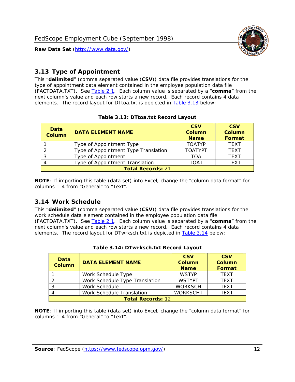

## <span id="page-12-0"></span>*3.13 Type of Appointment*

This "**delimited**" (comma separated value (**CSV**)) data file provides translations for the type of appointment data element contained in the employee population data file (FACTDATA.TXT). See [Table 2.1](#page-4-1). Each column value is separated by a "**comma**" from the next column's value and each row starts a new record. Each record contains 4 data elements. The record layout for DTtoa.txt is depicted in [Table 3.13](#page-12-4) below:

<span id="page-12-4"></span><span id="page-12-2"></span>

| Data<br><b>Column</b> | <b>DATA ELEMENT NAME</b>             |                | <b>CSV</b><br><b>Column</b><br>Format |
|-----------------------|--------------------------------------|----------------|---------------------------------------|
|                       | Type of Appointment Type             | <b>TOATYP</b>  | <b>TEXT</b>                           |
|                       | Type of Appointment Type Translation | <b>TOATYPT</b> | <b>TEXT</b>                           |
|                       | Type of Appointment                  | <b>TOA</b>     | <b>TEXT</b>                           |
|                       | Type of Appointment Translation      | <b>TOAT</b>    | <b>TFXT</b>                           |
|                       | <b>Total Records: 21</b>             |                |                                       |

#### **Table 3.13: DTtoa.txt Record Layout**

**NOTE**: If importing this table (data set) into Excel, change the "column data format" for columns 1-4 from "General" to "Text".

#### <span id="page-12-1"></span>*3.14 Work Schedule*

<span id="page-12-5"></span>This "**delimited**" (comma separated value (**CSV**)) data file provides translations for the work schedule data element contained in the employee population data file (FACTDATA.TXT). See [Table 2.1](#page-4-1). Each column value is separated by a "**comma**" from the next column's value and each row starts a new record. Each record contains 4 data elements. The record layout for DTwrksch.txt is depicted in [Table 3.14](#page-12-5) below:

<span id="page-12-3"></span>

| Data<br>Column           | <b>DATA ELEMENT NAME</b>       | <b>CSV</b><br><b>Column</b><br><b>Name</b> | <b>CSV</b><br>Column<br>Format |  |
|--------------------------|--------------------------------|--------------------------------------------|--------------------------------|--|
|                          | Work Schedule Type             | <b>WSTYP</b>                               | <b>TEXT</b>                    |  |
| 2                        | Work Schedule Type Translation | <b>WSTYPT</b>                              | <b>TFXT</b>                    |  |
| 3                        | Work Schedule                  | <b>WORKSCH</b>                             | <b>TFXT</b>                    |  |
|                          | Work Schedule Translation      | <b>WORKSCHT</b>                            | <b>TFXT</b>                    |  |
| <b>Total Records: 12</b> |                                |                                            |                                |  |

|  | Table 3.14: DTwrksch.txt Record Layout |  |  |
|--|----------------------------------------|--|--|
|  |                                        |  |  |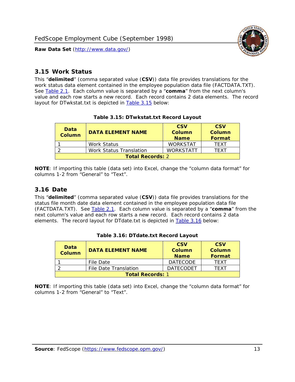

#### <span id="page-13-0"></span>*3.15 Work Status*

<span id="page-13-4"></span><span id="page-13-2"></span>This "**delimited**" (comma separated value (**CSV**)) data file provides translations for the work status data element contained in the employee population data file (FACTDATA.TXT). See [Table 2.1](#page-4-1). Each column value is separated by a "**comma**" from the next column's value and each row starts a new record. Each record contains 2 data elements. The record layout for DTwkstat.txt is depicted in [Table 3.15](#page-13-4) below:

| Data<br><b>Column</b>   | <b>DATA ELEMENT NAME</b>       | <b>CSV</b><br>Column<br><b>Name</b> | <b>CSV</b><br>Column<br><b>Format</b> |
|-------------------------|--------------------------------|-------------------------------------|---------------------------------------|
|                         | <b>Work Status</b>             | <b>WORKSTAT</b>                     | TFXT                                  |
|                         | <b>Work Status Translation</b> | <b>WORKSTATT</b>                    | TFXT                                  |
| <b>Total Records: 2</b> |                                |                                     |                                       |

#### **Table 3.15: DTwkstat.txt Record Layout**

**NOTE**: If importing this table (data set) into Excel, change the "column data format" for columns 1-2 from "General" to "Text".

#### <span id="page-13-1"></span>*3.16 Date*

<span id="page-13-5"></span><span id="page-13-3"></span>This "**delimited**" (comma separated value (**CSV**)) data file provides translations for the status file month date data element contained in the employee population data file (FACTDATA.TXT). See [Table 2.1](#page-4-1). Each column value is separated by a "**comma**" from the next column's value and each row starts a new record. Each record contains 2 data elements. The record layout for DTdate.txt is depicted in [Table 3.16](#page-13-5) below:

| Data<br><b>Column</b>   | <b>DATA ELEMENT NAME</b> | <b>CSV</b><br>Column<br><b>Name</b> | <b>CSV</b><br>Column<br><b>Format</b> |
|-------------------------|--------------------------|-------------------------------------|---------------------------------------|
|                         | File Date                | <b>DATECODE</b>                     | TFXT                                  |
|                         | File Date Translation    | <b>DATECODET</b>                    | TFXT                                  |
| <b>Total Records: 1</b> |                          |                                     |                                       |

**Table 3.16: DTdate.txt Record Layout**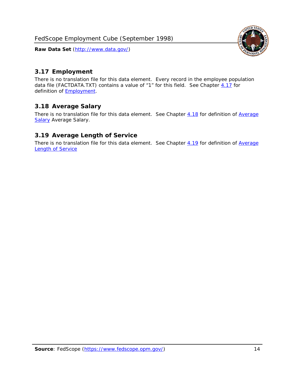

# <span id="page-14-0"></span>*3.17 Employment*

There is no translation file for this data element. Every record in the employee population data file (FACTDATA.TXT) contains a value of "1" for this field. See Chapter [4.17](#page-16-8) for definition of **Employment**.

# <span id="page-14-1"></span>*3.18 Average Salary*

There is no translation file for this data element. See Chapter [4.18](#page-17-1) for definition of [Average](#page-17-1) **[Salary](#page-17-1) [Average Salary.](#page-17-1)** 

# <span id="page-14-2"></span>*3.19 Average Length of Service*

There is no translation file for this data element. See Chapter [4.19](#page-17-2) for definition of [Average](#page-17-2) Length of Service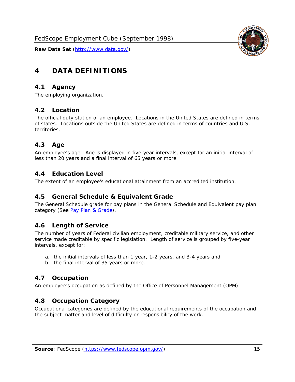

# <span id="page-15-0"></span>**4 DATA DEFINITIONS**

#### <span id="page-15-1"></span>*4.1 Agency*

The employing organization.

#### <span id="page-15-2"></span>*4.2 Location*

The official duty station of an employee. Locations in the United States are defined in terms of states. Locations outside the United States are defined in terms of countries and U.S. territories.

#### <span id="page-15-3"></span>*4.3 Age*

An employee's age. Age is displayed in five-year intervals, except for an initial interval of less than 20 years and a final interval of 65 years or more.

#### <span id="page-15-4"></span>*4.4 Education Level*

The extent of an employee's educational attainment from an accredited institution.

#### <span id="page-15-5"></span>*4.5 General Schedule & Equivalent Grade*

The General Schedule grade for pay plans in the General Schedule and Equivalent pay plan category (See [Pay Plan & Grade](#page-16-0)).

#### <span id="page-15-6"></span>*4.6 Length of Service*

The number of years of Federal civilian employment, creditable military service, and other service made creditable by specific legislation. Length of service is grouped by five-year intervals, except for:

- a. the initial intervals of less than 1 year, 1-2 years, and 3-4 years and
- b. the final interval of 35 years or more.

#### <span id="page-15-7"></span>*4.7 Occupation*

An employee's occupation as defined by the Office of Personnel Management (OPM).

#### <span id="page-15-8"></span>*4.8 Occupation Category*

Occupational categories are defined by the educational requirements of the occupation and the subject matter and level of difficulty or responsibility of the work.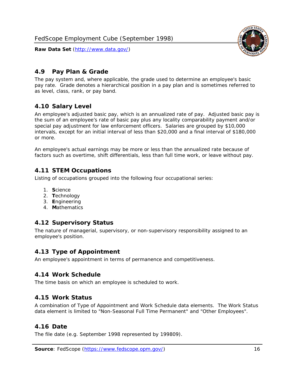<span id="page-16-0"></span>

The pay system and, where applicable, the grade used to determine an employee's basic pay rate. Grade denotes a hierarchical position in a pay plan and is sometimes referred to as level, class, rank, or pay band.

# <span id="page-16-1"></span>*4.10 Salary Level*

An employee's adjusted basic pay, which is an annualized rate of pay. Adjusted basic pay is the sum of an employee's rate of basic pay plus any locality comparability payment and/or special pay adjustment for law enforcement officers. Salaries are grouped by \$10,000 intervals, except for an initial interval of less than \$20,000 and a final interval of \$180,000 or more.

An employee's actual earnings may be more or less than the annualized rate because of factors such as overtime, shift differentials, less than full time work, or leave without pay.

# <span id="page-16-2"></span>*4.11 STEM Occupations*

Listing of occupations grouped into the following four occupational series:

- 1. **S**cience
- 2. **T**echnology
- 3. **E**ngineering
- 4. **M**athematics

#### <span id="page-16-3"></span>*4.12 Supervisory Status*

The nature of managerial, supervisory, or non-supervisory responsibility assigned to an employee's position.

#### <span id="page-16-4"></span>*4.13 Type of Appointment*

An employee's appointment in terms of permanence and competitiveness.

#### <span id="page-16-5"></span>*4.14 Work Schedule*

The time basis on which an employee is scheduled to work.

#### <span id="page-16-6"></span>*4.15 Work Status*

A combination of Type of Appointment and Work Schedule data elements. The Work Status data element is limited to "Non-Seasonal Full Time Permanent" and "Other Employees".

#### <span id="page-16-7"></span>*4.16 Date*

<span id="page-16-8"></span>The file date (e.g. September 1998 represented by 199809).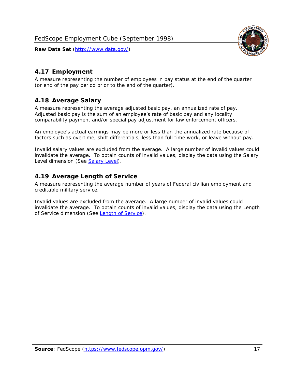

## <span id="page-17-0"></span>*4.17 Employment*

A measure representing the number of employees in pay status at the end of the quarter (or end of the pay period prior to the end of the quarter).

## <span id="page-17-1"></span>*4.18 Average Salary*

A measure representing the average adjusted basic pay, an annualized rate of pay. Adjusted basic pay is the sum of an employee's rate of basic pay and any locality comparability payment and/or special pay adjustment for law enforcement officers.

An employee's actual earnings may be more or less than the annualized rate because of factors such as overtime, shift differentials, less than full time work, or leave without pay.

Invalid salary values are excluded from the average. A large number of invalid values could invalidate the average. To obtain counts of invalid values, display the data using the Salary Level dimension (See [Salary Level\)](#page-16-1).

## <span id="page-17-2"></span>*4.19 Average Length of Service*

A measure representing the average number of years of Federal civilian employment and creditable military service.

Invalid values are excluded from the average. A large number of invalid values could invalidate the average. To obtain counts of invalid values, display the data using the Length of Service dimension (See [Length of Service](#page-15-6)).